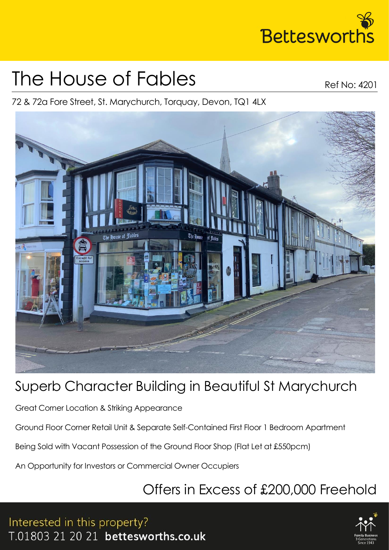

# The House of Fables

Ref No: 4201

72 & 72a Fore Street, St. Marychurch, Torquay, Devon, TQ1 4LX



## Superb Character Building in Beautiful St Marychurch

Great Corner Location & Striking Appearance

Ground Floor Corner Retail Unit & Separate Self-Contained First Floor 1 Bedroom Apartment

Being Sold with Vacant Possession of the Ground Floor Shop (Flat Let at £550pcm)

An Opportunity for Investors or Commercial Owner Occupiers

## Offers in Excess of £200,000 Freehold

Interested in this property? T.01803 21 20 21 bettesworths.co.uk

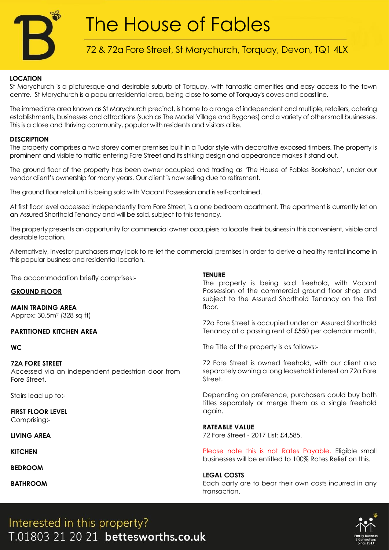

# The House of Fables

### 72 & 72a Fore Street, St Marychurch, Torquay, Devon, TQ1 4LX

#### **LOCATION**

St Marychurch is a picturesque and desirable suburb of Torquay, with fantastic amenities and easy access to the town centre. St Marychurch is a popular residential area, being close to some of Torquay's coves and coastline.

The immediate area known as St Marychurch precinct, is home to a range of independent and multiple, retailers, catering establishments, businesses and attractions (such as The Model Village and Bygones) and a variety of other small businesses. This is a close and thriving community, popular with residents and visitors alike.

#### **DESCRIPTION**

The property comprises a two storey corner premises built in a Tudor style with decorative exposed timbers. The property is prominent and visible to traffic entering Fore Street and its striking design and appearance makes it stand out.

The ground floor of the property has been owner occupied and trading as 'The House of Fables Bookshop', under our vendor client's ownership for many years. Our client is now selling due to retirement.

The ground floor retail unit is being sold with Vacant Possession and is self-contained.

At first floor level accessed independently from Fore Street, is a one bedroom apartment. The apartment is currently let on an Assured Shorthold Tenancy and will be sold, subject to this tenancy.

The property presents an opportunity for commercial owner occupiers to locate their business in this convenient, visible and desirable location.

Alternatively, investor purchasers may look to re-let the commercial premises in order to derive a healthy rental income in this popular business and residential location.

The accommodation briefly comprises:-

#### **GROUND FLOOR**

**MAIN TRADING AREA** Approx: 30.5m<sup>2</sup> (328 sq ft)

#### **PARTITIONED KITCHEN AREA**

#### **WC**

#### **72A FORE STREET**

Accessed via an independent pedestrian door from Fore Street.

Stairs lead up to:-

**FIRST FLOOR LEVEL** Comprising:-

**LIVING AREA** 

**KITCHEN**

**BEDROOM**

**BATHROOM**

#### **TENURE**

The property is being sold freehold, with Vacant Possession of the commercial ground floor shop and subject to the Assured Shorthold Tenancy on the first floor.

72a Fore Street is occupied under an Assured Shorthold Tenancy at a passing rent of £550 per calendar month.

The Title of the property is as follows:-

72 Fore Street is owned freehold, with our client also separately owning a long leasehold interest on 72a Fore Street.

Depending on preference, purchasers could buy both titles separately or merge them as a single freehold again.

#### **RATEABLE VALUE**

72 Fore Street - 2017 List: £4,585.

Please note this is not Rates Payable. Eligible small businesses will be entitled to 100% Rates Relief on this.

#### **LEGAL COSTS**

Each party are to bear their own costs incurred in any transaction.